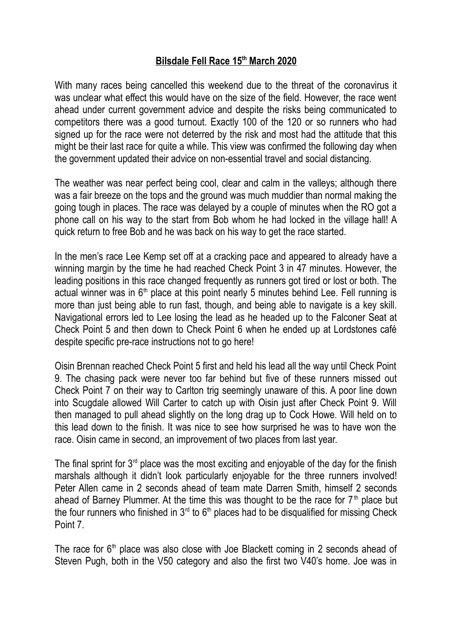## **Bilsdale Fell Race 15th March 2020**

With many races being cancelled this weekend due to the threat of the coronavirus it was unclear what effect this would have on the size of the field. However, the race went ahead under current government advice and despite the risks being communicated to competitors there was a good turnout. Exactly 100 of the 120 or so runners who had signed up for the race were not deterred by the risk and most had the attitude that this might be their last race for quite a while. This view was confirmed the following day when the government updated their advice on non-essential travel and social distancing.

The weather was near perfect being cool, clear and calm in the valleys; although there was a fair breeze on the tops and the ground was much muddier than normal making the going tough in places. The race was delayed by a couple of minutes when the RO got a phone call on his way to the start from Bob whom he had locked in the village hall! A quick return to free Bob and he was back on his way to get the race started.

In the men's race Lee Kemp set off at a cracking pace and appeared to already have a winning margin by the time he had reached Check Point 3 in 47 minutes. However, the leading positions in this race changed frequently as runners got tired or lost or both. The actual winner was in  $6<sup>th</sup>$  place at this point nearly 5 minutes behind Lee. Fell running is more than just being able to run fast, though, and being able to navigate is a key skill. Navigational errors led to Lee losing the lead as he headed up to the Falconer Seat at Check Point 5 and then down to Check Point 6 when he ended up at Lordstones café despite specific pre-race instructions not to go here!

Oisin Brennan reached Check Point 5 first and held his lead all the way until Check Point 9. The chasing pack were never too far behind but five of these runners missed out Check Point 7 on their way to Carlton trig seemingly unaware of this. A poor line down into Scugdale allowed Will Carter to catch up with Oisin just after Check Point 9. Will then managed to pull ahead slightly on the long drag up to Cock Howe. Will held on to this lead down to the finish. It was nice to see how surprised he was to have won the race. Oisin came in second, an improvement of two places from last year.

The final sprint for  $3<sup>rd</sup>$  place was the most exciting and enjoyable of the day for the finish marshals although it didn't look particularly enjoyable for the three runners involved! Peter Allen came in 2 seconds ahead of team mate Darren Smith, himself 2 seconds ahead of Barney Plummer. At the time this was thought to be the race for  $7<sup>th</sup>$  place but the four runners who finished in  $3<sup>rd</sup>$  to  $6<sup>th</sup>$  places had to be disqualified for missing Check Point 7.

The race for  $6<sup>th</sup>$  place was also close with Joe Blackett coming in 2 seconds ahead of Steven Pugh, both in the V50 category and also the first two V40's home. Joe was in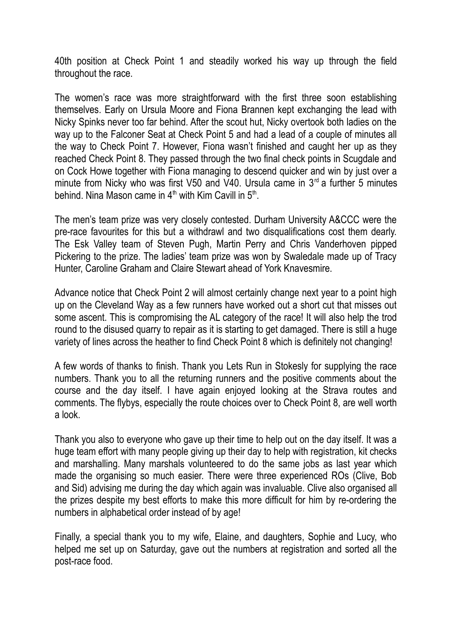40th position at Check Point 1 and steadily worked his way up through the field throughout the race.

The women's race was more straightforward with the first three soon establishing themselves. Early on Ursula Moore and Fiona Brannen kept exchanging the lead with Nicky Spinks never too far behind. After the scout hut, Nicky overtook both ladies on the way up to the Falconer Seat at Check Point 5 and had a lead of a couple of minutes all the way to Check Point 7. However, Fiona wasn't finished and caught her up as they reached Check Point 8. They passed through the two final check points in Scugdale and on Cock Howe together with Fiona managing to descend quicker and win by just over a minute from Nicky who was first V50 and V40. Ursula came in  $3<sup>rd</sup>$  a further 5 minutes behind. Nina Mason came in 4<sup>th</sup> with Kim Cavill in 5<sup>th</sup>.

The men's team prize was very closely contested. Durham University A&CCC were the pre-race favourites for this but a withdrawl and two disqualifications cost them dearly. The Esk Valley team of Steven Pugh, Martin Perry and Chris Vanderhoven pipped Pickering to the prize. The ladies' team prize was won by Swaledale made up of Tracy Hunter, Caroline Graham and Claire Stewart ahead of York Knavesmire.

Advance notice that Check Point 2 will almost certainly change next year to a point high up on the Cleveland Way as a few runners have worked out a short cut that misses out some ascent. This is compromising the AL category of the race! It will also help the trod round to the disused quarry to repair as it is starting to get damaged. There is still a huge variety of lines across the heather to find Check Point 8 which is definitely not changing!

A few words of thanks to finish. Thank you Lets Run in Stokesly for supplying the race numbers. Thank you to all the returning runners and the positive comments about the course and the day itself. I have again enjoyed looking at the Strava routes and comments. The flybys, especially the route choices over to Check Point 8, are well worth a look.

Thank you also to everyone who gave up their time to help out on the day itself. It was a huge team effort with many people giving up their day to help with registration, kit checks and marshalling. Many marshals volunteered to do the same jobs as last year which made the organising so much easier. There were three experienced ROs (Clive, Bob and Sid) advising me during the day which again was invaluable. Clive also organised all the prizes despite my best efforts to make this more difficult for him by re-ordering the numbers in alphabetical order instead of by age!

Finally, a special thank you to my wife, Elaine, and daughters, Sophie and Lucy, who helped me set up on Saturday, gave out the numbers at registration and sorted all the post-race food.